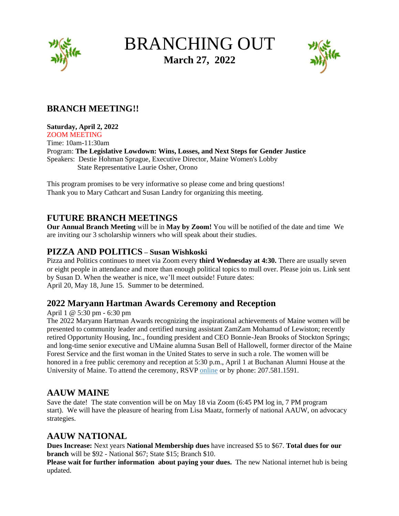

# BRANCHING OUT **March 27, 2022**



# **BRANCH MEETING!!**

#### **Saturday, April 2, 2022**

ZOOM MEETING Time: 10am-11:30am Program: **The Legislative Lowdown: Wins, Losses, and Next Steps for Gender Justice** Speakers: Destie Hohman Sprague, Executive Director, Maine Women's Lobby State Representative Laurie Osher, Orono

This program promises to be very informative so please come and bring questions! Thank you to Mary Cathcart and Susan Landry for organizing this meeting.

# **FUTURE BRANCH MEETINGS**

**Our Annual Branch Meeting** will be in **May by Zoom!** You will be notified of the date and time We are inviting our 3 scholarship winners who will speak about their studies.

## **PIZZA AND POLITICS – Susan Wishkoski**

Pizza and Politics continues to meet via Zoom every **third Wednesday at 4:30.** There are usually seven or eight people in attendance and more than enough political topics to mull over. Please join us. Link sent by Susan D. When the weather is nice, we'll meet outside! Future dates: April 20, May 18, June 15. Summer to be determined.

## **2022 Maryann Hartman Awards Ceremony and Reception**

#### April 1 @ 5:30 pm - 6:30 pm

The 2022 Maryann Hartman Awards recognizing the inspirational achievements of Maine women will be presented to community leader and certified nursing assistant ZamZam Mohamud of Lewiston; recently retired Opportunity Housing, Inc., founding president and CEO Bonnie-Jean Brooks of Stockton Springs; and long-time senior executive and UMaine alumna Susan Bell of Hallowell, former director of the Maine Forest Service and the first woman in the United States to serve in such a role. The women will be honored in a free public ceremony and reception at 5:30 p.m., April 1 at Buchanan Alumni House at the University of Maine. To attend the ceremony, RSVP [online](https://umaine.us11.list-manage.com/track/click?u=be4f393d8fa5e27d81509d299&id=baa71de793&e=b8d0672c16) or by phone: 207.581.1591.

# **AAUW MAINE**

Save the date! The state convention will be on May 18 via Zoom (6:45 PM log in, 7 PM program start). We will have the pleasure of hearing from Lisa Maatz, formerly of national AAUW, on advocacy strategies.

# **AAUW NATIONAL**

**Dues Increase:** Next years **National Membership dues** have increased \$5 to \$67. **Total dues for our branch** will be \$92 - National \$67; State \$15; Branch \$10.

**Please wait for further information about paying your dues.** The new National internet hub is being updated.